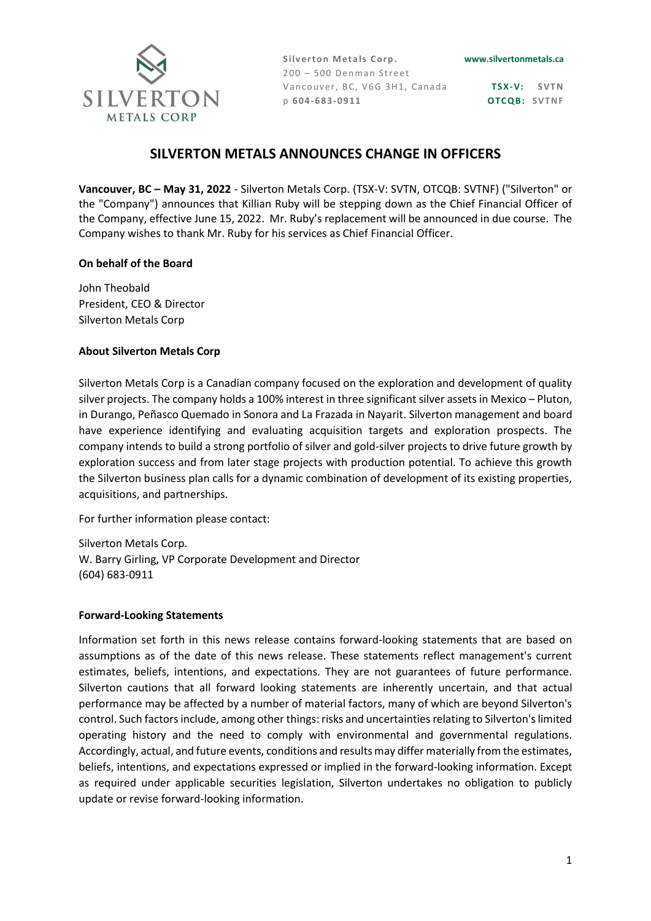

Silverton Metals Corp.  $200 - 500$  Denman Street Vancouver, BC, V6G 3H1, Canada p **6 04-683-09 11**

**TS X-V: S VT N OTCQB: SVTNF** 

## **SILVERTON METALS ANNOUNCES CHANGE IN OFFICERS**

**Vancouver, BC – May 31, 2022** - Silverton Metals Corp. (TSX-V: SVTN, OTCQB: SVTNF) ("Silverton" or the "Company") announces that Killian Ruby will be stepping down as the Chief Financial Officer of the Company, effective June 15, 2022. Mr. Ruby's replacement will be announced in due course. The Company wishes to thank Mr. Ruby for his services as Chief Financial Officer.

## **On behalf of the Board**

John Theobald President, CEO & Director Silverton Metals Corp

## **About Silverton Metals Corp**

Silverton Metals Corp is a Canadian company focused on the exploration and development of quality silver projects. The company holds a 100% interest in three significant silver assets in Mexico – Pluton, in Durango, Peñasco Quemado in Sonora and La Frazada in Nayarit. Silverton management and board have experience identifying and evaluating acquisition targets and exploration prospects. The company intends to build a strong portfolio of silver and gold-silver projects to drive future growth by exploration success and from later stage projects with production potential. To achieve this growth the Silverton business plan calls for a dynamic combination of development of its existing properties, acquisitions, and partnerships.

For further information please contact:

Silverton Metals Corp. W. Barry Girling, VP Corporate Development and Director (604) 683-0911

## **Forward-Looking Statements**

Information set forth in this news release contains forward-looking statements that are based on assumptions as of the date of this news release. These statements reflect management's current estimates, beliefs, intentions, and expectations. They are not guarantees of future performance. Silverton cautions that all forward looking statements are inherently uncertain, and that actual performance may be affected by a number of material factors, many of which are beyond Silverton's control. Such factors include, among other things: risks and uncertainties relating to Silverton's limited operating history and the need to comply with environmental and governmental regulations. Accordingly, actual, and future events, conditions and results may differ materially from the estimates, beliefs, intentions, and expectations expressed or implied in the forward-looking information. Except as required under applicable securities legislation, Silverton undertakes no obligation to publicly update or revise forward-looking information.